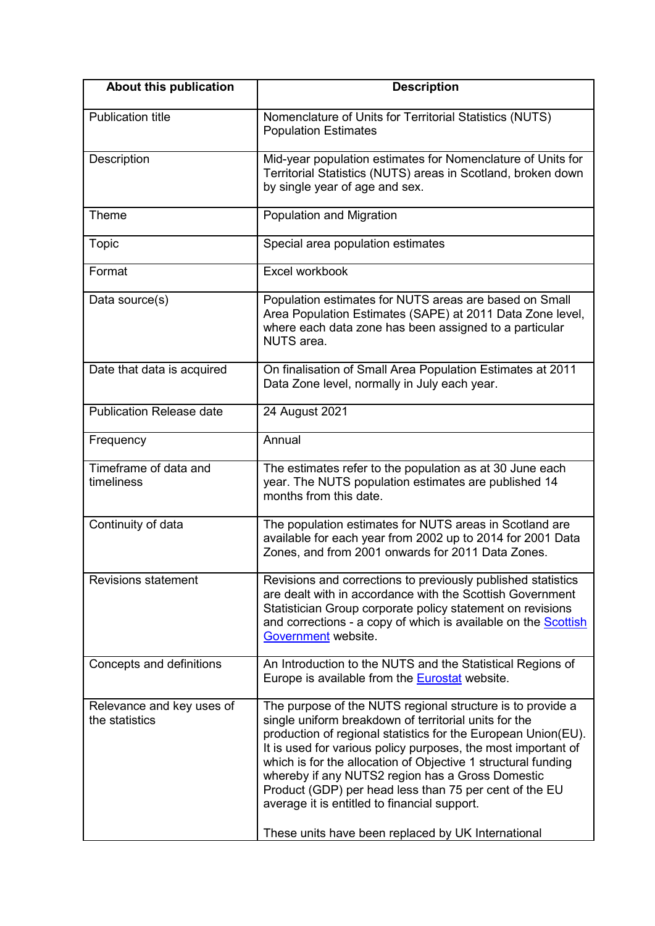| About this publication                      | <b>Description</b>                                                                                                                                                                                                                                                                                                                                                                                                                                                                                                                         |
|---------------------------------------------|--------------------------------------------------------------------------------------------------------------------------------------------------------------------------------------------------------------------------------------------------------------------------------------------------------------------------------------------------------------------------------------------------------------------------------------------------------------------------------------------------------------------------------------------|
| <b>Publication title</b>                    | Nomenclature of Units for Territorial Statistics (NUTS)<br><b>Population Estimates</b>                                                                                                                                                                                                                                                                                                                                                                                                                                                     |
| Description                                 | Mid-year population estimates for Nomenclature of Units for<br>Territorial Statistics (NUTS) areas in Scotland, broken down<br>by single year of age and sex.                                                                                                                                                                                                                                                                                                                                                                              |
| Theme                                       | <b>Population and Migration</b>                                                                                                                                                                                                                                                                                                                                                                                                                                                                                                            |
| Topic                                       | Special area population estimates                                                                                                                                                                                                                                                                                                                                                                                                                                                                                                          |
| Format                                      | Excel workbook                                                                                                                                                                                                                                                                                                                                                                                                                                                                                                                             |
| Data source(s)                              | Population estimates for NUTS areas are based on Small<br>Area Population Estimates (SAPE) at 2011 Data Zone level,<br>where each data zone has been assigned to a particular<br>NUTS area.                                                                                                                                                                                                                                                                                                                                                |
| Date that data is acquired                  | On finalisation of Small Area Population Estimates at 2011<br>Data Zone level, normally in July each year.                                                                                                                                                                                                                                                                                                                                                                                                                                 |
| <b>Publication Release date</b>             | 24 August 2021                                                                                                                                                                                                                                                                                                                                                                                                                                                                                                                             |
| Frequency                                   | Annual                                                                                                                                                                                                                                                                                                                                                                                                                                                                                                                                     |
| Timeframe of data and<br>timeliness         | The estimates refer to the population as at 30 June each<br>year. The NUTS population estimates are published 14<br>months from this date.                                                                                                                                                                                                                                                                                                                                                                                                 |
| Continuity of data                          | The population estimates for NUTS areas in Scotland are<br>available for each year from 2002 up to 2014 for 2001 Data<br>Zones, and from 2001 onwards for 2011 Data Zones.                                                                                                                                                                                                                                                                                                                                                                 |
| <b>Revisions statement</b>                  | Revisions and corrections to previously published statistics<br>are dealt with in accordance with the Scottish Government<br>Statistician Group corporate policy statement on revisions<br>and corrections - a copy of which is available on the Scottish<br>Government website.                                                                                                                                                                                                                                                           |
| Concepts and definitions                    | An Introduction to the NUTS and the Statistical Regions of<br>Europe is available from the Eurostat website.                                                                                                                                                                                                                                                                                                                                                                                                                               |
| Relevance and key uses of<br>the statistics | The purpose of the NUTS regional structure is to provide a<br>single uniform breakdown of territorial units for the<br>production of regional statistics for the European Union(EU).<br>It is used for various policy purposes, the most important of<br>which is for the allocation of Objective 1 structural funding<br>whereby if any NUTS2 region has a Gross Domestic<br>Product (GDP) per head less than 75 per cent of the EU<br>average it is entitled to financial support.<br>These units have been replaced by UK International |